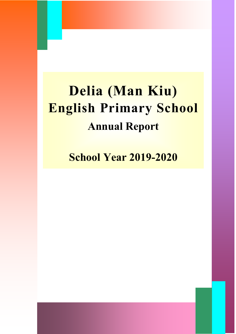# **Delia (Man Kiu) English Primary School Annual Report**

**School Year 2019-2020**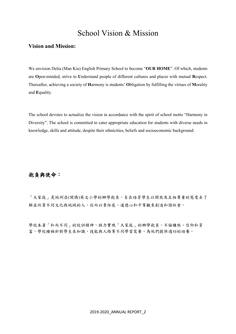## School Vision & Mission

#### **Vision and Mission:**

We envision Delia (Man Kiu) English Primary School to become "**OUR HOME**". Of which, students are **O**pen-minded, strive to **U**nderstand people of different cultures and places with mutual **R**espect. Thereafter, achieving a society of **H**armony is students' **O**bligation by fulfilling the virtues of **M**orality and **E**quality.

The school devotes to actualize the vision in accordance with the spirit of school motto "Harmony in Diversity". The school is committed to cater appropriate education for students with diverse needs in knowledge, skills and attitude, despite their ethnicities, beliefs and socioeconomic background.

### 抱負與使命:

「大家庭」是地利亞(閩僑)英文小學的辦學抱負,旨在培育學生以開放及互相尊重的態度去了 解並欣賞不同文化與地域的人。從而以責任感、道德心和平等觀來創造和諧社會。

學校本著「和而不同」的校訓精神,致力實現「大家庭」的辦學抱負。不論種族、信仰和貧 富,學校積極針對學生在知識、技能與人格等不同學習需要、為他們提供適切的培養。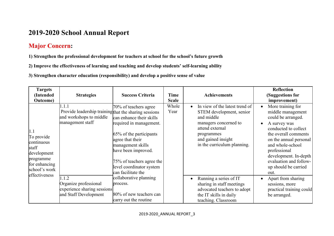## **2019-2020 School Annual Report**

## **Major Concern:**

**1) Strengthen the professional development for teachers at school for the school's future growth**

**2) Improve the effectiveness of learning and teaching and develop students' self-learning ability**

**3) Strengthen character education (responsibility) and develop a positive sense of value**

| <b>Targets</b><br>(Intended<br><b>Outcome</b> )                                                                         | <b>Strategies</b>                                                                                             | <b>Success Criteria</b>                                                                                                                                                                                                                                | Time<br><b>Scale</b> | <b>Achievements</b>                                                                                                                                                                     | <b>Reflection</b><br>(Suggestions for<br>improvement)                                                                                                                                                                                                                                      |
|-------------------------------------------------------------------------------------------------------------------------|---------------------------------------------------------------------------------------------------------------|--------------------------------------------------------------------------------------------------------------------------------------------------------------------------------------------------------------------------------------------------------|----------------------|-----------------------------------------------------------------------------------------------------------------------------------------------------------------------------------------|--------------------------------------------------------------------------------------------------------------------------------------------------------------------------------------------------------------------------------------------------------------------------------------------|
| 1.1<br>To provide<br>continuous<br>staff<br>development<br>programme<br>for enhancing<br>school's work<br>effectiveness | 1.1.1<br>Provide leadership training that the sharing sessions<br>and workshops to middle<br>management staff | 70% of teachers agree<br>can enhance their skills<br>required in management.<br>65% of the participants<br>agree that their<br>management skills<br>have been improved.<br>75% of teachers agree the<br>level coordinator system<br>can facilitate the | Whole<br>Year        | In view of the latest trend of<br>STEM development, senior<br>and middle<br>managers concerned to<br>attend external<br>programmes<br>and gained insight<br>in the curriculum planning. | More training for<br>middle management<br>could be arranged.<br>A survey was<br>$\bullet$<br>conducted to collect<br>the overall comments<br>on the annual personal<br>and whole-school<br>professional<br>development. In-depth<br>evaluation and follow-<br>up should be carried<br>out. |
|                                                                                                                         | 1.1.2<br>Organize professional<br>experience sharing sessions<br>and Staff Development                        | collaborative planning<br>process.<br>80% of new teachers can<br>carry out the routine                                                                                                                                                                 |                      | Running a series of IT<br>sharing in staff meetings<br>advocated teachers to adopt<br>the IT skills in daily<br>teaching. Classroom                                                     | Apart from sharing<br>sessions, more<br>practical training could<br>be arranged.                                                                                                                                                                                                           |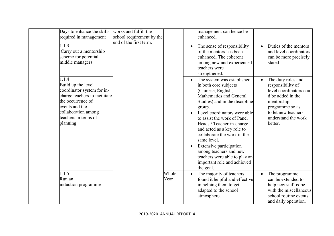| Days to enhance the skills<br>required in management                                                                                                                                         | works and fulfill the<br>school requirement by the<br>end of the first term. |               | management can hence be<br>enhanced.                                                                                                                                                                                                                                                                                                                                                                                                                                                                                                                                                                                                            |
|----------------------------------------------------------------------------------------------------------------------------------------------------------------------------------------------|------------------------------------------------------------------------------|---------------|-------------------------------------------------------------------------------------------------------------------------------------------------------------------------------------------------------------------------------------------------------------------------------------------------------------------------------------------------------------------------------------------------------------------------------------------------------------------------------------------------------------------------------------------------------------------------------------------------------------------------------------------------|
| 1.1.3<br>Carry out a mentorship<br>scheme for potential<br>middle managers                                                                                                                   |                                                                              |               | Duties of the mentors<br>The sense of responsibility<br>$\bullet$<br>$\bullet$<br>and level coordinators<br>of the mentors has been<br>enhanced. The coherent<br>can be more precisely<br>among new and experienced<br>stated.<br>teachers were<br>strengthened.                                                                                                                                                                                                                                                                                                                                                                                |
| 1.1.4<br>Build up the level<br>coordinator system for in-<br>charge teachers to facilitate<br>the occurrence of<br>events and the<br>collaboration among<br>teachers in terms of<br>planning |                                                                              |               | The duty roles and<br>The system was established<br>in both core subjects<br>responsibility of<br>level coordinators coul<br>(Chinese, English,<br>Mathematics and General<br>d be added in the<br>Studies) and in the discipline<br>mentorship<br>programme so as<br>group.<br>to let new teachers<br>Level coordinators were able<br>understand the work<br>to assist the work of Panel<br>Heads / Teacher-in-charge<br>better.<br>and acted as a key role to<br>collaborate the work in the<br>same level.<br>Extensive participation<br>among teachers and new<br>teachers were able to play an<br>important role and achieved<br>the goal. |
| 1.1.5<br>Run an<br>induction programme                                                                                                                                                       |                                                                              | Whole<br>Year | The majority of teachers<br>The programme<br>found it helpful and effective<br>can be extended to<br>in helping them to get<br>help new staff cope<br>with the miscellaneous<br>adapted to the school<br>atmosphere.<br>school routine events<br>and daily operation.                                                                                                                                                                                                                                                                                                                                                                           |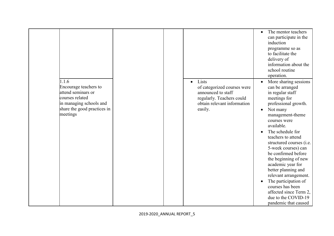|                                                                                                                                               |                                                                                                                                                | The mentor teachers<br>$\bullet$<br>can participate in the<br>induction<br>programme so as<br>to facilitate the<br>delivery of<br>information about the<br>school routine<br>operation.                                                                                                                                                                                                                                                                                                                                            |
|-----------------------------------------------------------------------------------------------------------------------------------------------|------------------------------------------------------------------------------------------------------------------------------------------------|------------------------------------------------------------------------------------------------------------------------------------------------------------------------------------------------------------------------------------------------------------------------------------------------------------------------------------------------------------------------------------------------------------------------------------------------------------------------------------------------------------------------------------|
| 1.1.6<br>Encourage teachers to<br>attend seminars or<br>courses related<br>in managing schools and<br>share the good practices in<br>meetings | Lists<br>$\bullet$<br>of categorized courses were<br>announced to staff<br>regularly. Teachers could<br>obtain relevant information<br>easily. | More sharing sessions<br>$\bullet$<br>can be arranged<br>in regular staff<br>meetings for<br>professional growth.<br>Not many<br>$\bullet$<br>management-theme<br>courses were<br>available.<br>The schedule for<br>teachers to attend<br>structured courses (i.e.<br>5-week courses) can<br>be confirmed before<br>the beginning of new<br>academic year for<br>better planning and<br>relevant arrangement.<br>The participation of<br>courses has been<br>affected since Term 2,<br>due to the COVID-19<br>pandemic that caused |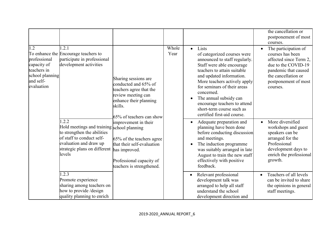|                                                                                                 |                                                                                                                                                                                     |                                                                                                                                                                |               |                                                                                                                                                                                                                                                                                                                                                                               | the cancellation or<br>postponement of most<br>courses.                                                                                                                      |
|-------------------------------------------------------------------------------------------------|-------------------------------------------------------------------------------------------------------------------------------------------------------------------------------------|----------------------------------------------------------------------------------------------------------------------------------------------------------------|---------------|-------------------------------------------------------------------------------------------------------------------------------------------------------------------------------------------------------------------------------------------------------------------------------------------------------------------------------------------------------------------------------|------------------------------------------------------------------------------------------------------------------------------------------------------------------------------|
| 1.2<br>professional<br>capacity of<br>teachers in<br>school planning<br>and self-<br>evaluation | 1.2.1<br>To enhance the Encourage teachers to<br>participate in professional<br>development activities                                                                              | Sharing sessions are<br>conducted and 65% of<br>teachers agree that the<br>review meeting can<br>enhance their planning<br>skills.<br>65% of teachers can show | Whole<br>Year | Lists<br>$\bullet$<br>of categorized courses were<br>announced to staff regularly.<br>Staff were able encourage<br>teachers to attain suitable<br>and updated information.<br>More teachers actively apply<br>for seminars of their areas<br>concerned.<br>The annual subsidy can<br>encourage teachers to attend<br>short-term course such as<br>certified first-aid course. | The participation of<br>courses has been<br>affected since Term 2,<br>due to the COVID-19<br>pandemic that caused<br>the cancellation or<br>postponement of most<br>courses. |
|                                                                                                 | 1.2.2<br>Hold meetings and training school planning<br>to strengthen the abilities<br>of staff to conduct self-<br>evaluation and draw up<br>strategic plans on different<br>levels | improvement in their<br>65% of the teachers agree<br>that their self-evaluation<br>has improved.<br>Professional capacity of<br>teachers is strengthened.      |               | Adequate preparation and<br>planning have been done<br>before conducting discussion<br>and meetings.<br>The induction programme<br>was suitably arranged in late<br>August to train the new staff<br>effectively with positive<br>feedback.                                                                                                                                   | More diversified<br>workshops and guest<br>speakers can be<br>arranged for the<br>Professional<br>development days to<br>enrich the professional<br>growth.                  |
|                                                                                                 | 1.2.3<br>Promote experience<br>sharing among teachers on<br>how to provide / design<br>quality planning to enrich                                                                   |                                                                                                                                                                |               | Relevant professional<br>$\bullet$<br>development talk was<br>arranged to help all staff<br>understand the school<br>development direction and                                                                                                                                                                                                                                | Teachers of all levels<br>can be invited to share<br>the opinions in general<br>staff meetings.                                                                              |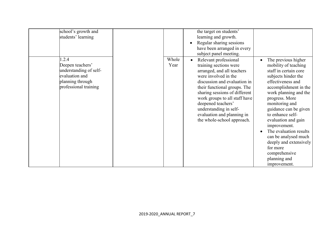| school's growth and<br>students' learning                                                                          |               | the target on students'<br>learning and growth.<br>Regular sharing sessions<br>have been arranged in every<br>subject panel meeting.                                                                                                                                                                                                                |                                                                                                                                                                                                                                                                                                                                                                                                                                                  |
|--------------------------------------------------------------------------------------------------------------------|---------------|-----------------------------------------------------------------------------------------------------------------------------------------------------------------------------------------------------------------------------------------------------------------------------------------------------------------------------------------------------|--------------------------------------------------------------------------------------------------------------------------------------------------------------------------------------------------------------------------------------------------------------------------------------------------------------------------------------------------------------------------------------------------------------------------------------------------|
| 1.2.4<br>Deepen teachers'<br>understanding of self-<br>evaluation and<br>planning through<br>professional training | Whole<br>Year | Relevant professional<br>training sections were<br>arranged, and all teachers<br>were involved in the<br>discussion and evaluation in<br>their functional groups. The<br>sharing sessions of different<br>work groups to all staff have<br>deepened teachers'<br>understanding in self-<br>evaluation and planning in<br>the whole-school approach. | The previous higher<br>$\bullet$<br>mobility of teaching<br>staff in certain core<br>subjects hinder the<br>effectiveness and<br>accomplishment in the<br>work planning and the<br>progress. More<br>monitoring and<br>guidance can be given<br>to enhance self-<br>evaluation and gain<br>improvement.<br>The evaluation results<br>can be analysed much<br>deeply and extensively<br>for more<br>comprehensive<br>planning and<br>improvement. |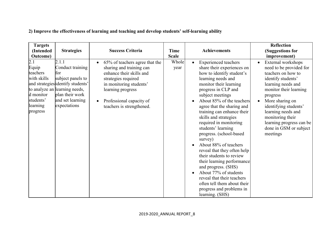| <b>Targets</b><br>(Intended<br><b>Outcome</b> )                                                        | <b>Strategies</b>                                                                                                                                                                  | <b>Success Criteria</b>                                                                                                                                                                                                                          | <b>Time</b><br><b>Scale</b> | <b>Achievements</b>                                                                                                                                                                                                                                                                                                                                                                                                                                                                                                                                                                                                                                                                               | <b>Reflection</b><br>(Suggestions for<br>improvement)                                                                                                                                                                                                                                                                                   |
|--------------------------------------------------------------------------------------------------------|------------------------------------------------------------------------------------------------------------------------------------------------------------------------------------|--------------------------------------------------------------------------------------------------------------------------------------------------------------------------------------------------------------------------------------------------|-----------------------------|---------------------------------------------------------------------------------------------------------------------------------------------------------------------------------------------------------------------------------------------------------------------------------------------------------------------------------------------------------------------------------------------------------------------------------------------------------------------------------------------------------------------------------------------------------------------------------------------------------------------------------------------------------------------------------------------------|-----------------------------------------------------------------------------------------------------------------------------------------------------------------------------------------------------------------------------------------------------------------------------------------------------------------------------------------|
| $\overline{2.1}$<br>Equip<br>teachers<br>with skills<br>d monitor<br>students'<br>learning<br>progress | 2.1.1<br>Conduct training<br>for<br>subject panels to<br>and strategies identify students'<br>to analyze an learning needs,<br>plan their work<br>and set learning<br>expectations | 65% of teachers agree that the<br>$\bullet$<br>sharing and training can<br>enhance their skills and<br>strategies required<br>in monitoring students'<br>learning progress<br>Professional capacity of<br>$\bullet$<br>teachers is strengthened. | Whole<br>year               | <b>Experienced teachers</b><br>$\bullet$<br>share their experiences on<br>how to identify student's<br>learning needs and<br>monitor their learning<br>progress in CLP and<br>subject meetings<br>About 85% of the teachers<br>agree that the sharing and<br>training can enhance their<br>skills and strategies<br>required in monitoring<br>students' learning<br>progress. (school-based<br>survey)<br>About 88% of teachers<br>$\bullet$<br>reveal that they often help<br>their students to review<br>their learning performance<br>and progress. (SHS)<br>About 77% of students<br>reveal that their teachers<br>often tell them about their<br>progress and problems in<br>learning. (SHS) | External workshops<br>$\bullet$<br>need to be provided for<br>teachers on how to<br>identify students'<br>learning needs and<br>monitor their learning<br>progress<br>More sharing on<br>$\bullet$<br>identifying students'<br>learning needs and<br>monitoring their<br>learning progress can be<br>done in GSM or subject<br>meetings |

## **2) Improve the effectiveness of learning and teaching and develop students' self-learning ability**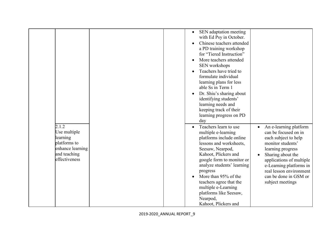|                                                                                                        | SEN adaptation meeting<br>$\bullet$<br>with Ed Psy in October.<br>Chinese teachers attended<br>a PD training workshop<br>for "Tiered Instruction"<br>More teachers attended<br>SEN workshops<br>Teachers have tried to<br>formulate individual<br>learning plans for less<br>able Ss in Term 1                                                                                                                                                                                                                                                                                                                                                                                                                                                                                             |
|--------------------------------------------------------------------------------------------------------|--------------------------------------------------------------------------------------------------------------------------------------------------------------------------------------------------------------------------------------------------------------------------------------------------------------------------------------------------------------------------------------------------------------------------------------------------------------------------------------------------------------------------------------------------------------------------------------------------------------------------------------------------------------------------------------------------------------------------------------------------------------------------------------------|
| 2.1.2<br>Use multiple<br>learning<br>platforms to<br>enhance learning<br>and teaching<br>effectiveness | Dr. Shiu's sharing about<br>identifying students'<br>learning needs and<br>keeping track of their<br>learning progress on PD<br>day<br>Teachers learn to use<br>An e-learning platform<br>$\bullet$<br>can be focused on in<br>multiple e-learning<br>platforms include online<br>each subject to help<br>lessons and worksheets,<br>monitor students'<br>Seesaw, Nearpod,<br>learning progress<br>Kahoot, Plickers and<br>Sharing about the<br>google form to monitor or<br>applications of multiple<br>analyze students' learning<br>e-Learning platforms in<br>real lesson environment<br>progress<br>More than 95% of the<br>can be done in GSM or<br>teachers agree that the<br>subject meetings<br>multiple e-Learning<br>platforms like Seesaw,<br>Nearpod,<br>Kahoot, Plickers and |
| 2019-2020 ANNUAL REPORT 9                                                                              |                                                                                                                                                                                                                                                                                                                                                                                                                                                                                                                                                                                                                                                                                                                                                                                            |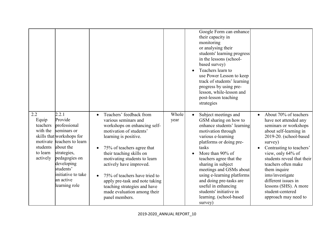|                                                                                      |                                                                                                                                                                                                                               |                                                                                                                                                                                                                                                                                                                                                                                                              |               | Google Form can enhance<br>their capacity in<br>monitoring<br>or analysing their<br>students' learning progress<br>in the lessons (school-<br>based survey)<br>Teachers learn to<br>use Power Lesson to keep<br>track of students' learning<br>progress by using pre-<br>lesson, while-lesson and<br>post-lesson teaching<br>strategies                                                                                   |                                                                                                                                                                                                                                                                                                                                                                              |
|--------------------------------------------------------------------------------------|-------------------------------------------------------------------------------------------------------------------------------------------------------------------------------------------------------------------------------|--------------------------------------------------------------------------------------------------------------------------------------------------------------------------------------------------------------------------------------------------------------------------------------------------------------------------------------------------------------------------------------------------------------|---------------|---------------------------------------------------------------------------------------------------------------------------------------------------------------------------------------------------------------------------------------------------------------------------------------------------------------------------------------------------------------------------------------------------------------------------|------------------------------------------------------------------------------------------------------------------------------------------------------------------------------------------------------------------------------------------------------------------------------------------------------------------------------------------------------------------------------|
| 2.2<br>Equip<br>teachers<br>with the<br>motivate<br>students<br>to learn<br>actively | 2.2.1<br>Provide<br>professional<br>seminars or<br>skills that workshops for<br>teachers to learn<br>about the<br>strategies,<br>pedagogies on<br>developing<br>students'<br>initiative to take<br>an active<br>learning role | Teachers' feedback from<br>various seminars and<br>workshops on enhancing self-<br>motivation of students'<br>learning is positive.<br>75% of teachers agree that<br>their teaching skills on<br>motivating students to learn<br>actively have improved.<br>75% of teachers have tried to<br>apply pre-task and note taking<br>teaching strategies and have<br>made evaluation among their<br>panel members. | Whole<br>year | Subject meetings and<br>$\bullet$<br>GSM sharing on how to<br>enhance students' learning<br>motivation through<br>various e-learning<br>platforms or doing pre-<br>tasks<br>More than 90% of<br>teachers agree that the<br>sharing in subject<br>meetings and GSMs about<br>using e-learning platforms<br>and doing pre-tasks are<br>useful in enhancing<br>students' initiative in<br>learning. (school-based<br>survey) | About 70% of teachers<br>have not attended any<br>seminars or workshops<br>about self-learning in<br>2019-20. (school-based<br>survey)<br>Contrasting to teachers'<br>view, only 64% of<br>students reveal that their<br>teachers often make<br>them inquire<br>into/investigate<br>different issues in<br>lessons (SHS). A more<br>student-centered<br>approach may need to |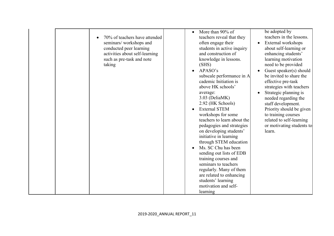| 70% of teachers have attended<br>seminars/workshops and<br>conducted peer learning<br>activities about self-learning<br>such as pre-task and note<br>taking | More than 90% of<br>$\bullet$<br>teachers reveal that they<br>often engage their<br>students in active inquiry<br>and construction of<br>knowledge in lessons.<br>(SHS)<br>APASO's<br>$\bullet$<br>subscale performance in A<br>cademic Initiation is<br>above HK schools'<br>average:<br>3.03 (DeliaMK)<br>2.92 (HK Schools)<br><b>External STEM</b><br>$\bullet$<br>workshops for some<br>teachers to learn about the<br>pedagogies and strategies<br>on developing students'<br>initiative in learning<br>through STEM education<br>Ms. SC Chu has been<br>$\bullet$<br>sending out lists of EDB<br>training courses and<br>seminars to teachers<br>regularly. Many of them<br>are related to enhancing<br>students' learning<br>motivation and self-<br>learning | be adopted by<br>teachers in the lessons.<br>External workshops<br>about self-learning or<br>enhancing students'<br>learning motivation<br>need to be provided<br>Guest speaker(s) should<br>be invited to share the<br>effective pre-task<br>strategies with teachers<br>Strategic planning is<br>needed regarding the<br>staff development.<br>Priority should be given<br>to training courses<br>related to self-learning<br>or motivating students to<br>learn. |
|-------------------------------------------------------------------------------------------------------------------------------------------------------------|----------------------------------------------------------------------------------------------------------------------------------------------------------------------------------------------------------------------------------------------------------------------------------------------------------------------------------------------------------------------------------------------------------------------------------------------------------------------------------------------------------------------------------------------------------------------------------------------------------------------------------------------------------------------------------------------------------------------------------------------------------------------|---------------------------------------------------------------------------------------------------------------------------------------------------------------------------------------------------------------------------------------------------------------------------------------------------------------------------------------------------------------------------------------------------------------------------------------------------------------------|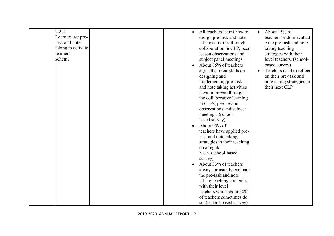| 2.2.2              | All teachers learnt how to<br>About 15% of             |
|--------------------|--------------------------------------------------------|
| Learn to use pre-  | teachers seldom evaluat<br>design pre-task and note    |
| task and note      | taking activities through<br>e the pre-task and note   |
| taking to activate | collaboration in CLP, peer                             |
| learners'          | taking teaching                                        |
| schema             | lesson observations and<br>strategies with their       |
|                    | subject panel meetings<br>level teachers. (school-     |
|                    | based survey)<br>About 85% of teachers                 |
|                    | agree that their skills on<br>Teachers need to reflect |
|                    | designing and<br>on their pre-task and                 |
|                    | implementing pre-task<br>note taking strategies in     |
|                    | their next CLP<br>and note taking activities           |
|                    | have improved through                                  |
|                    | the collaborative learning                             |
|                    | in CLPs, peer lesson                                   |
|                    | observations and subject                               |
|                    | meetings. (school-                                     |
|                    | based survey)                                          |
|                    | About 95% of                                           |
|                    | teachers have applied pre-                             |
|                    | task and note taking                                   |
|                    | strategies in their teaching                           |
|                    | on a regular                                           |
|                    | basis. (school-based                                   |
|                    | survey)                                                |
|                    | About 33% of teachers                                  |
|                    | always or usually evaluate                             |
|                    | the pre-task and note                                  |
|                    | taking teaching strategies                             |
|                    | with their level                                       |
|                    | teachers while about 50%                               |
|                    | of teachers sometimes do                               |
|                    |                                                        |
|                    | so. (school-based survey)                              |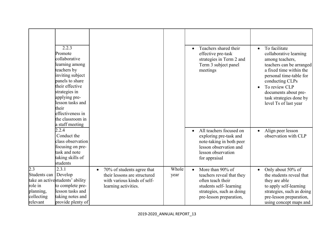|                                                                                    | 2.2.3<br>Promote<br>collaborative<br>learning among<br>teachers by<br>inviting subject<br>panels to share<br>their effective<br>strategies in<br>applying pre-<br>lesson tasks and<br>their<br>effectiveness in<br>the classroom in<br>a staff meeting |                                                                                                                   |               | Teachers shared their<br>$\bullet$<br>effective pre-task<br>strategies in Term 2 and<br>Term 3 subject panel<br>meetings                                          | To facilitate<br>$\bullet$<br>collaborative learning<br>among teachers,<br>teachers can be arranged<br>a fixed time within the<br>personal time-table for<br>conducting CLPs<br>To review CLP<br>$\bullet$<br>documents about pre-<br>task strategies done by<br>level Ts of last year |
|------------------------------------------------------------------------------------|--------------------------------------------------------------------------------------------------------------------------------------------------------------------------------------------------------------------------------------------------------|-------------------------------------------------------------------------------------------------------------------|---------------|-------------------------------------------------------------------------------------------------------------------------------------------------------------------|----------------------------------------------------------------------------------------------------------------------------------------------------------------------------------------------------------------------------------------------------------------------------------------|
|                                                                                    | 2.2.4<br>Conduct the<br>class observation<br>focusing on pre-<br>task and note<br>taking skills of<br>students                                                                                                                                         |                                                                                                                   |               | All teachers focused on<br>$\bullet$<br>exploring pre-task and<br>note-taking in both peer<br>lesson observation and<br>lesson observation<br>for appraisal       | Align peer lesson<br>$\bullet$<br>observation with CLP                                                                                                                                                                                                                                 |
| $\overline{2.3}$<br>Students can<br>role in<br>planning,<br>collecting<br>relevant | 2.3.1<br>Develop<br>take an activestudents' ability<br>to complete pre-<br>lesson tasks and<br>taking notes and<br>provide plenty of                                                                                                                   | 70% of students agree that<br>their lessons are structured<br>with various kinds of self-<br>learning activities. | Whole<br>year | More than 90% of<br>$\bullet$<br>teachers reveal that they<br>often teach their<br>students self-learning<br>strategies, such as doing<br>pre-lesson preparation, | Only about 50% of<br>$\bullet$<br>the students reveal that<br>they are able<br>to apply self-learning<br>strategies, such as doing<br>pre-lesson preparation,<br>using concept maps and                                                                                                |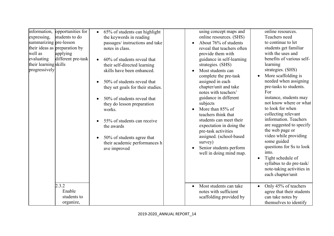| opportunities for<br>information,<br>online resources.                                                    |                           |
|-----------------------------------------------------------------------------------------------------------|---------------------------|
| using concept maps and<br>65% of students can highlight<br>$\bullet$                                      |                           |
| students to do<br>online resources. (SHS)<br>Teachers need<br>expressing,<br>the keywords in reading      |                           |
| summarizing pre-lesson<br>to continue to let<br>About 76% of students<br>passages/ instructions and take  |                           |
| their ideas as preparation by<br>students get familiar<br>notes in class.<br>reveal that teachers often   |                           |
| with the uses and<br>well as<br>applying<br>provide them with                                             |                           |
| different pre-task<br>evaluating<br>guidance in self-learning<br>60% of students reveal that<br>$\bullet$ | benefits of various self- |
| their learning skills<br>strategies. (SHS)<br>learning<br>their self-directed learning                    |                           |
| progressively<br>strategies. (SHS)<br>skills have been enhanced.<br>Most students can                     |                           |
| More scaffolding is<br>complete the pre-task<br>$\bullet$                                                 |                           |
| assigned in each<br>50% of students reveal that                                                           | needed when assigning     |
| pre-tasks to students.<br>chapter/unit and take<br>they set goals for their studies.                      |                           |
| notes with teachers'<br>For                                                                               |                           |
| guidance in different<br>instance, students may<br>50% of students reveal that                            |                           |
| subjects                                                                                                  | not know where or what    |
| they do lesson preparation<br>to look for when<br>More than 85% of<br>works.                              |                           |
| collecting relevant<br>teachers think that                                                                |                           |
| information. Teachers                                                                                     |                           |
| students can meet their<br>55% of students can receive                                                    | are suggested to specify  |
| expectation in doing the<br>the awards                                                                    |                           |
| the web page or<br>pre-task activities                                                                    |                           |
| video while providing<br>assigned. (school-based<br>50% of students agree that                            |                           |
| some guided<br>survey)<br>their academic performances h                                                   |                           |
| Senior students perform<br>ave improved                                                                   | questions for Ss to look  |
| into.<br>well in doing mind map.                                                                          |                           |
| Tight schedule of<br>$\bullet$                                                                            |                           |
|                                                                                                           | syllabus to do pre-task/  |
|                                                                                                           | note-taking activities in |
| each chapter/unit                                                                                         |                           |
|                                                                                                           |                           |
| 2.3.2<br>Most students can take<br>Only 45% of teachers<br>$\bullet$<br>$\bullet$                         |                           |
| Enable<br>notes with sufficient                                                                           | agree that their students |
| students to<br>scaffolding provided by<br>can take notes by                                               |                           |
| organize,<br>themselves to identify                                                                       |                           |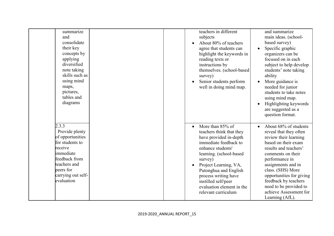| summarize          | teachers in different      | and summarize                      |
|--------------------|----------------------------|------------------------------------|
| and                | subjects                   | main ideas. (school-               |
| consolidate        | About 80% of teachers      | based survey)                      |
| their key          | agree that students can    | Specific graphic<br>$\bullet$      |
| concepts by        | highlight the keywords in  | organizers can be                  |
| applying           | reading texts or           | focused on in each                 |
| diversified        | instructions by            | subject to help develop            |
| note taking        | themselves. (school-based) | students' note taking              |
| skills such as     | survey)                    | ability                            |
| using mind         | Senior students perform    | More guidance is                   |
| maps,              | well in doing mind map.    | needed for junior                  |
| pictures,          |                            | students to take notes             |
| tables and         |                            | using mind map.                    |
| diagrams           |                            | Highlighting keywords              |
|                    |                            | are suggested as a                 |
|                    |                            | question format.                   |
|                    |                            |                                    |
| 2.3.3              | More than 85% of           | About 68% of students<br>$\bullet$ |
| Provide plenty     | teachers think that they   | reveal that they often             |
| of opportunities   | have provided in-depth     | review their learning              |
| for students to    | immediate feedback to      | based on their exam                |
| receive            | enhance students'          | results and teachers'              |
| immediate          | learning. (school-based    | comments on their                  |
| feedback from      | survey)                    | performance in                     |
| teachers and       | Project Learning, VA,      | assignments and in                 |
| peers for          | Putonghua and English      | class. (SHS) More                  |
| carrying out self- | process writing have       | opportunities for giving           |
| evaluation         | instilled self/peer        | feedback by teachers               |
|                    | evaluation element in the  | need to be provided to             |
|                    | relevant curriculum        | achieve Assessment for             |
|                    |                            | Learning (AfL).                    |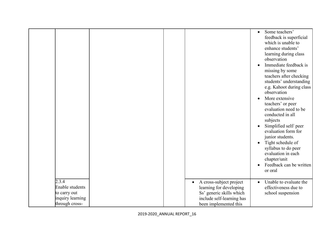|                                    |  |                                      | Some teachers'<br>$\bullet$<br>feedback is superficial<br>which is unable to<br>enhance students'<br>learning during class<br>observation<br>Immediate feedback is<br>$\bullet$<br>missing by some<br>teachers after checking<br>students' understanding<br>e.g. Kahoot during class<br>observation<br>More extensive<br>$\bullet$<br>teachers' or peer<br>evaluation need to be<br>conducted in all<br>subjects<br>Simplified self/ peer<br>evaluation form for<br>junior students.<br>Tight schedule of<br>$\bullet$<br>syllabus to do peer<br>evaluation in each<br>chapter/unit<br>Feedback can be written<br>$\bullet$<br>or oral |
|------------------------------------|--|--------------------------------------|----------------------------------------------------------------------------------------------------------------------------------------------------------------------------------------------------------------------------------------------------------------------------------------------------------------------------------------------------------------------------------------------------------------------------------------------------------------------------------------------------------------------------------------------------------------------------------------------------------------------------------------|
| 2.3.4                              |  | A cross-subject project<br>$\bullet$ | Unable to evaluate the<br>$\bullet$                                                                                                                                                                                                                                                                                                                                                                                                                                                                                                                                                                                                    |
| Enable students                    |  | learning for developing              | effectiveness due to                                                                                                                                                                                                                                                                                                                                                                                                                                                                                                                                                                                                                   |
| to carry out                       |  | Ss' generic skills which             | school suspension                                                                                                                                                                                                                                                                                                                                                                                                                                                                                                                                                                                                                      |
| inquiry learning<br>through cross- |  | include self-learning has            |                                                                                                                                                                                                                                                                                                                                                                                                                                                                                                                                                                                                                                        |
|                                    |  | been implemented this                |                                                                                                                                                                                                                                                                                                                                                                                                                                                                                                                                                                                                                                        |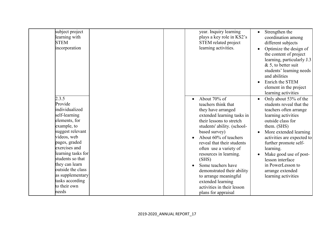| subject project    | year. Inquiry learning      | Strengthen the<br>$\bullet$         |
|--------------------|-----------------------------|-------------------------------------|
| learning with      | plays a key role in KS2's   | coordination among                  |
| <b>STEM</b>        | STEM related project        | different subjects                  |
| incorporation      | learning activities.        | Optimize the design of<br>$\bullet$ |
|                    |                             | the content of project              |
|                    |                             | learning, particularly J.3          |
|                    |                             | $& 5,$ to better suit               |
|                    |                             | students' learning needs            |
|                    |                             | and abilities                       |
|                    |                             | Enrich the STEM<br>$\bullet$        |
|                    |                             | element in the project              |
|                    |                             | learning activities                 |
| 2.3.5              | About 70% of<br>$\bullet$   | Only about 53% of the<br>$\bullet$  |
| Provide            | teachers think that         | students reveal that the            |
| individualized     | they have arranged          | teachers often arrange              |
| self-learning      | extended learning tasks in  | learning activities                 |
| elements, for      | their lessons to stretch    | outside class for                   |
| example, to        | students' ability. (school- | them. (SHS)                         |
| suggest relevant   | based survey)               | More extended learning<br>$\bullet$ |
| videos, web        | About 60% of teachers       | activities are expected to          |
| pages, graded      | reveal that their students  | further promote self-               |
| exercises and      | often use a variety of      | learning.                           |
| learning tasks for | resources in learning.      | Make good use of post-<br>$\bullet$ |
| students so that   | (SHS)                       | lesson interface                    |
| they can learn     | Some teachers have          | in PowerLesson to                   |
| outside the class  | demonstrated their ability  | arrange extended                    |
| as supplementary   | to arrange meaningful       | learning activities                 |
| tasks according    | extended learning           |                                     |
| to their own       | activities in their lesson  |                                     |
| needs              | plans for appraisal         |                                     |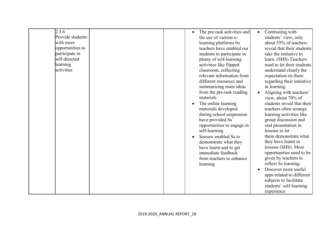| 2.3.6            |  | The pre-task activities and | $\bullet$ | Contrasting with           |
|------------------|--|-----------------------------|-----------|----------------------------|
| Provide students |  | the use of various e-       |           | students' view, only       |
| with more        |  | learning platforms by       |           | about 55% of teachers      |
| opportunities to |  | teachers have enabled our   |           | reveal that their students |
| participate in   |  | students to participate in  |           | take the initiative to     |
| self-directed    |  | plenty of self-learning     |           | learn. (SHS) Teachers      |
| learning         |  | activities like flipped     |           | need to let their students |
| activities       |  | classroom, collecting       |           | understand clearly the     |
|                  |  | relevant information from   |           | expectation on them        |
|                  |  | different resources and     |           | regarding their initiative |
|                  |  | summarizing main ideas      |           | in learning.               |
|                  |  | from the pre-task reading   | $\bullet$ | Aligning with teachers'    |
|                  |  | materials                   |           | view, about 70% of         |
|                  |  | The online learning         |           | students reveal that their |
|                  |  | materials developed         |           | teachers often arrange     |
|                  |  | during school suspension    |           | learning activities like   |
|                  |  | have provided Ss'           |           | group discussion and       |
|                  |  | opportunities to engage in  |           | oral presentation in       |
|                  |  | self-learning               |           | lessons to let             |
|                  |  | Seesaw enabled Ss to        |           | them demonstrate what      |
|                  |  | demonstrate what they       |           | they have learnt in        |
|                  |  | have learnt and to get      |           | lessons (SHS). More        |
|                  |  | immediate feedback          |           | opportunities need to be   |
|                  |  | from teachers to enhance    |           | given by teachers to       |
|                  |  | learning                    |           | reflect Ss learning.       |
|                  |  |                             | $\bullet$ | Discover more useful       |
|                  |  |                             |           |                            |
|                  |  |                             |           | apps related to different  |
|                  |  |                             |           | subjects to facilitate     |
|                  |  |                             |           | students' self-learning    |
|                  |  |                             |           | experience                 |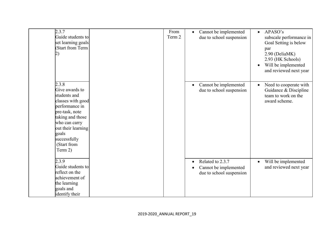| 2.3.7<br>Guide students to<br>set learning goals<br>(Start from Term                                                                                                                                           | From<br>Term 2 | Cannot be implemented<br>$\bullet$<br>due to school suspension                                  | APASO's<br>$\bullet$<br>subscale performance in<br>Goal Setting is below<br>par<br>2.90 (DeliaMK)<br>2.93 (HK Schools)<br>Will be implemented<br>$\bullet$<br>and reviewed next year |
|----------------------------------------------------------------------------------------------------------------------------------------------------------------------------------------------------------------|----------------|-------------------------------------------------------------------------------------------------|--------------------------------------------------------------------------------------------------------------------------------------------------------------------------------------|
| 2.3.8<br>Give awards to<br>students and<br>classes with good<br>performance in<br>pre-task, note<br>taking and those<br>who can carry<br>out their learning<br>goals<br>successfully<br>(Start from<br>Term 2) |                | Cannot be implemented<br>$\bullet$<br>due to school suspension                                  | Need to cooperate with<br>Guidance & Discipline<br>team to work on the<br>award scheme.                                                                                              |
| 2.3.9<br>Guide students to<br>reflect on the<br>achievement of<br>the learning<br>goals and<br>identify their                                                                                                  |                | Related to 2.3.7<br>$\bullet$<br>Cannot be implemented<br>$\bullet$<br>due to school suspension | Will be implemented<br>$\bullet$<br>and reviewed next year                                                                                                                           |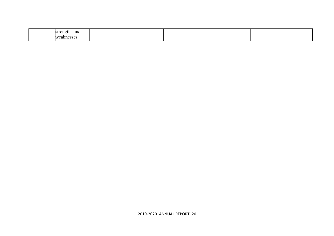| ''<br>ыu<br>.  | ns and              |  |  |
|----------------|---------------------|--|--|
| W <sub>0</sub> | 0.0000<br>cannesses |  |  |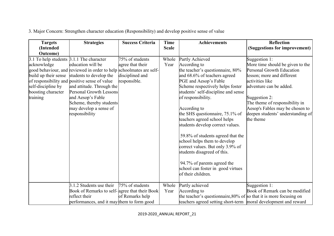| <b>Targets</b>                           | <b>Strategies</b>                                                   | <b>Success Criteria</b> | <b>Time</b>  | <b>Achievements</b>                                                | <b>Reflection</b>                 |
|------------------------------------------|---------------------------------------------------------------------|-------------------------|--------------|--------------------------------------------------------------------|-----------------------------------|
| (Intended                                |                                                                     |                         | <b>Scale</b> |                                                                    | (Suggestions for improvement)     |
| <b>Outcome</b> )                         |                                                                     |                         |              |                                                                    |                                   |
| 3.1 To help students 3.1.1 The character |                                                                     | 75% of students         | Whole        | Partly Achieved                                                    | Suggestion 1:                     |
| acknowledge                              | education will be                                                   | agree that their        | Year         | According to                                                       | More time should be given to the  |
|                                          | good behaviour, and reviewed in order to help schoolmates are self- |                         |              | the teacher's questionnaire, 80%                                   | Personal Growth Education         |
|                                          | build up their sense students to develop the                        | disciplined and         |              | and 68.6% of teachers agreed                                       | lesson; more and different        |
|                                          | of responsibility and positive sense of value                       | responsible.            |              | PGE and Aesop's Fable                                              | activities like                   |
| self-discipline by                       | and attitude. Through the                                           |                         |              | Scheme respectively helps foster                                   | adventure can be added.           |
| boosting character                       | Personal Growth Lessons                                             |                         |              | students' self-discipline and sense                                |                                   |
| training                                 | and Aesop's Fable                                                   |                         |              | of responsibility.                                                 | Suggestion 2:                     |
|                                          | Scheme, thereby students                                            |                         |              |                                                                    | The theme of responsibility in    |
|                                          | may develop a sense of                                              |                         |              | According to                                                       | Aesop's Fables may be chosen to   |
|                                          | responsibility                                                      |                         |              | the SHS questionnaire, 75.1% of                                    | deepen students' understanding of |
|                                          |                                                                     |                         |              | teachers agreed school helps                                       | the theme                         |
|                                          |                                                                     |                         |              | students develop correct values.                                   |                                   |
|                                          |                                                                     |                         |              | 59.8% of students agreed that the                                  |                                   |
|                                          |                                                                     |                         |              | school helps them to develop                                       |                                   |
|                                          |                                                                     |                         |              | correct values. But only 3.9% of                                   |                                   |
|                                          |                                                                     |                         |              | students disagreed of this.                                        |                                   |
|                                          |                                                                     |                         |              | 94.7% of parents agreed the                                        |                                   |
|                                          |                                                                     |                         |              | school can foster in good virtues                                  |                                   |
|                                          |                                                                     |                         |              | of their children.                                                 |                                   |
|                                          | 3.1.2 Students use their                                            | 75% of students         | Whole        | Partly achieved                                                    | Suggestion 1:                     |
|                                          | Book of Remarks to self- agree that their Book                      |                         | Year         | According to                                                       | Book of Remark can be modified    |
|                                          | reflect their                                                       | of Remarks help         |              | the teacher's questionnaire, 80% of so that it is more focusing on |                                   |
|                                          | performances, and it may them to form good                          |                         |              | teachers agreed setting short-term   moral development and reward  |                                   |

3. Major Concern: Strengthen character education (Responsibility) and develop positive sense of value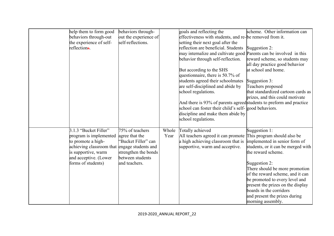| help them to form good                       | behaviors through-    |       | goals and reflecting the                                            | scheme. Other information can      |
|----------------------------------------------|-----------------------|-------|---------------------------------------------------------------------|------------------------------------|
| behaviors through-out                        | out the experience of |       | effectiveness with students, and re-be removed from it.             |                                    |
| the experience of self-                      | self-reflections.     |       | setting their next goal after the                                   |                                    |
| reflection <del>s</del> .                    |                       |       | reflection are beneficial. Students                                 | Suggestion 2:                      |
|                                              |                       |       | may internalize and cultivate good Parents can be involved in this  |                                    |
|                                              |                       |       | behavior through self-reflection.                                   | reward scheme, so students may     |
|                                              |                       |       |                                                                     | all day practice good behavior     |
|                                              |                       |       | But according to the SHS                                            | at school and home.                |
|                                              |                       |       | questionnaire, there is 50.7% of                                    |                                    |
|                                              |                       |       | students agreed their schoolmates                                   | Suggestion 3:                      |
|                                              |                       |       | are self-disciplined and abide by                                   | Teachers proposed                  |
|                                              |                       |       | school regulations.                                                 | that standardized cartoon cards as |
|                                              |                       |       |                                                                     | prizes, and this could motivate    |
|                                              |                       |       | And there is 93% of parents agreed students to preform and practice |                                    |
|                                              |                       |       | school can foster their child's self- good behaviors.               |                                    |
|                                              |                       |       | discipline and make them abide by                                   |                                    |
|                                              |                       |       | school regulations.                                                 |                                    |
|                                              |                       |       |                                                                     |                                    |
| 3.1.3 "Bucket Filler"                        | 75% of teachers       | Whole | Totally achieved                                                    | Suggestion 1:                      |
| program is implemented agree that the        |                       | Year  | All teachers agreed it can promote                                  | This program should also be        |
| to promote a high-                           | 'Bucket Filler" can   |       | a high achieving classroom that is                                  | implemented in senior form of      |
| achieving classroom that engage students and |                       |       | supportive, warm and acceptive.                                     | students, or it can be merged with |
| is supportive, warm                          | strengthen the bonds  |       |                                                                     | the reward scheme.                 |
| and acceptive. (Lower                        | between students      |       |                                                                     |                                    |
| forms of students)                           | and teachers.         |       |                                                                     | Suggestion 2:                      |
|                                              |                       |       |                                                                     | There should be more promotion     |
|                                              |                       |       |                                                                     | of the reward scheme, and it can   |
|                                              |                       |       |                                                                     | be promoted to every level and     |
|                                              |                       |       |                                                                     | present the prizes on the display  |
|                                              |                       |       |                                                                     | boards in the corridors            |
|                                              |                       |       |                                                                     | and present the prizes during      |
|                                              |                       |       |                                                                     | morning assembly.                  |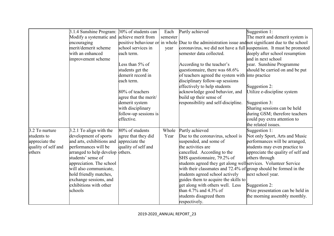|                     | 3.1.4 Sunshine Program: 30% of students can |                       | Each     | Partly achieved                                                                                      | Suggestion 1:                      |
|---------------------|---------------------------------------------|-----------------------|----------|------------------------------------------------------------------------------------------------------|------------------------------------|
|                     | Modify a systematic and achieve merit from  |                       | semester |                                                                                                      | The merit and demerit system is    |
|                     | encouraging                                 |                       |          | positive behaviour or in whole Due to the administration issue and not significant due to the school |                                    |
|                     | merit/demerit scheme                        | school services in    | year     | coronavirus, we did not have a full suspension. It must be promoted                                  |                                    |
|                     | with an enhanced                            | each term.            |          | semester data collected.                                                                             | deeply after school resumption     |
|                     | improvement scheme                          |                       |          |                                                                                                      | and in next school                 |
|                     |                                             | Less than 5% of       |          | According to the teacher's                                                                           | year. Sunshine Programme           |
|                     |                                             | students get the      |          | questionnaire, there was $68.6\%$                                                                    | should be carried on and be put    |
|                     |                                             | demerit record in     |          | of teachers agreed the system with                                                                   | into practice                      |
|                     |                                             | each term.            |          | disciplinary follow-up sessions                                                                      |                                    |
|                     |                                             |                       |          | effectively to help students                                                                         | Suggestion 2:                      |
|                     |                                             | 80% of teachers       |          | acknowledge good behavior, and                                                                       | Utilize e-discipline system        |
|                     |                                             | agree that the merit/ |          | build up their sense of                                                                              |                                    |
|                     |                                             | demerit system        |          | responsibility and self-discipline.                                                                  | Suggestion 3:                      |
|                     |                                             | with disciplinary     |          |                                                                                                      | Sharing sessions can be held       |
|                     |                                             | follow-up sessions is |          |                                                                                                      | during GSM; therefore teachers     |
|                     |                                             | effective.            |          |                                                                                                      | could pay extra attention to       |
|                     |                                             |                       |          |                                                                                                      | the related issues.                |
| 3.2 To nurture      | 3.2.1 To align with the                     | 80% of students       | Whole    | Partly achieved                                                                                      | Suggestion 1:                      |
| students to         | development of sports                       | agree that they did   | Year     | Due to the coronavirus, school is                                                                    | Not only Sport, Arts and Music     |
| appreciate the      | and arts, exhibitions and                   | appreciate the        |          | suspended, and some of                                                                               | performances will be arranged,     |
| quality of self and | performances will be                        | quality of self and   |          | the activities are                                                                                   | students may even practice to      |
| others              | arranged to help develop others.            |                       |          | cancelled. According to the                                                                          | appreciate the quality of self and |
|                     | students' sense of                          |                       |          | SHS questionnaire, 79.2% of                                                                          | others through                     |
|                     | appreciation. The school                    |                       |          | students agreed they get along well services. Volunteer Service                                      |                                    |
|                     | will also communicate,                      |                       |          | with their classmates and $72.4\%$ of group should be formed in the                                  |                                    |
|                     | hold friendly matches,                      |                       |          | students agreed school actively                                                                      | next school year.                  |
|                     | exchange sessions, and                      |                       |          | guides them to acquire the skills to                                                                 |                                    |
|                     | exhibitions with other                      |                       |          | get along with others well. Less                                                                     | Suggestion 2:                      |
|                     | schools                                     |                       |          | than 4.7% and 4.3% of                                                                                | Prize presentation can be held in  |
|                     |                                             |                       |          | students disagreed them                                                                              | the morning assembly monthly.      |
|                     |                                             |                       |          | respectively.                                                                                        |                                    |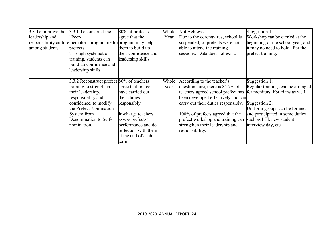| 3.3 To improve the | 3.3.1 To construct the                                          | 80% of prefects      | Whole | Not Achieved                                                         | Suggestion 1:                     |
|--------------------|-----------------------------------------------------------------|----------------------|-------|----------------------------------------------------------------------|-----------------------------------|
| leadership and     | "Peer-                                                          | agree that the       | Year  | Due to the coronavirus, school is                                    | Workshop can be carried at the    |
|                    | responsibility culture mediator" programme for program may help |                      |       | suspended, so prefects were not                                      | beginning of the school year, and |
| among students     | prefects.                                                       | them to build up     |       | able to attend the training                                          | it may no need to hold after the  |
|                    | Through systematic                                              | their confidence and |       | sessions. Data does not exist.                                       | prefect training.                 |
|                    | training, students can                                          | leadership skills.   |       |                                                                      |                                   |
|                    | build up confidence and                                         |                      |       |                                                                      |                                   |
|                    | leadership skills                                               |                      |       |                                                                      |                                   |
|                    |                                                                 |                      |       |                                                                      |                                   |
|                    | 3.3.2 Reconstruct prefect 80% of teachers                       |                      | Whole | According to the teacher's                                           | Suggestion 1:                     |
|                    | training to strengthen                                          | agree that prefects  | year  | questionnaire, there is 85.7% of                                     | Regular trainings can be arranged |
|                    | their leadership,                                               | have carried out     |       | teachers agreed school prefect has for monitors, librarians as well. |                                   |
|                    | responsibility and                                              | their duties         |       | been developed effectively and can                                   |                                   |
|                    | confidence; to modify                                           | responsibly.         |       | carry out their duties responsibly.                                  | Suggestion 2:                     |
|                    | the Prefect Nomination                                          |                      |       |                                                                      | Uniform groups can be formed      |
|                    | System from                                                     | In-charge teachers   |       | 100% of prefects agreed that the                                     | and participated in some duties   |
|                    | Denomination to Self-                                           | assess prefects'     |       | prefect workshop and training can                                    | such as PTI, new student          |
|                    | nomination.                                                     | performance and do   |       | strengthen their leadership and                                      | interview day, etc.               |
|                    |                                                                 | reflection with them |       | responsibility.                                                      |                                   |
|                    |                                                                 | at the end of each   |       |                                                                      |                                   |
|                    |                                                                 | term                 |       |                                                                      |                                   |